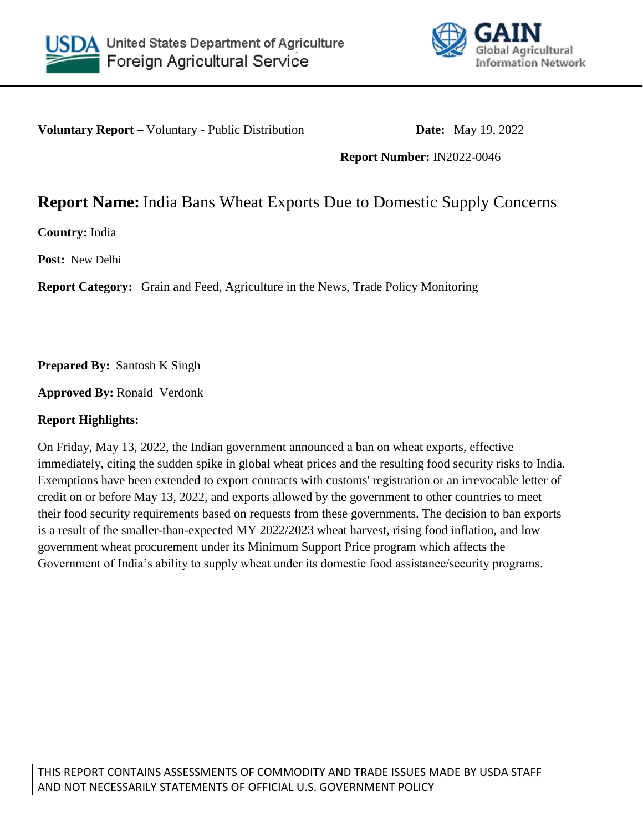



**Voluntary Report –** Voluntary - Public Distribution **Date:** May 19, 2022

**Report Number:** IN2022-0046

# **Report Name:** India Bans Wheat Exports Due to Domestic Supply Concerns

**Country:** India

**Post:** New Delhi

**Report Category:** Grain and Feed, Agriculture in the News, Trade Policy Monitoring

**Prepared By:** Santosh K Singh

**Approved By:** Ronald Verdonk

# **Report Highlights:**

On Friday, May 13, 2022, the Indian government announced a ban on wheat exports, effective immediately, citing the sudden spike in global wheat prices and the resulting food security risks to India. Exemptions have been extended to export contracts with customs' registration or an irrevocable letter of credit on or before May 13, 2022, and exports allowed by the government to other countries to meet their food security requirements based on requests from these governments. The decision to ban exports is a result of the smaller-than-expected MY 2022/2023 wheat harvest, rising food inflation, and low government wheat procurement under its Minimum Support Price program which affects the Government of India's ability to supply wheat under its domestic food assistance/security programs.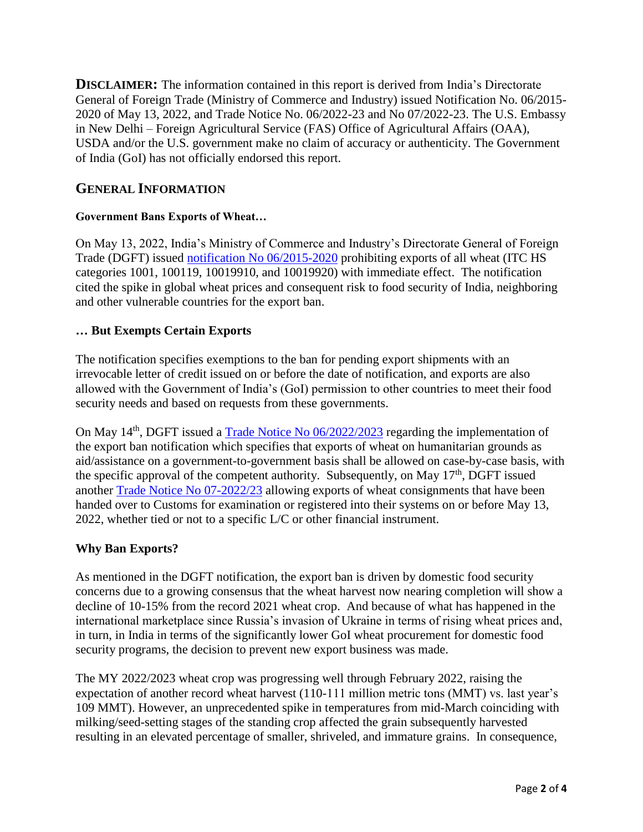**DISCLAIMER:** The information contained in this report is derived from India's Directorate General of Foreign Trade (Ministry of Commerce and Industry) issued Notification No. 06/2015- 2020 of May 13, 2022, and Trade Notice No. 06/2022-23 and No 07/2022-23. The U.S. Embassy in New Delhi – Foreign Agricultural Service (FAS) Office of Agricultural Affairs (OAA), USDA and/or the U.S. government make no claim of accuracy or authenticity. The Government of India (GoI) has not officially endorsed this report.

# **GENERAL INFORMATION**

#### **Government Bans Exports of Wheat…**

On May 13, 2022, India's Ministry of Commerce and Industry's Directorate General of Foreign Trade (DGFT) issued [notification No 06/2015-2020](https://content.dgft.gov.in/Website/dgftprod/447f2071-10eb-41fe-8387-566012449b6d/Noti%2005%20Eng.pdf) prohibiting exports of all wheat (ITC HS categories 1001, 100119, 10019910, and 10019920) with immediate effect. The notification cited the spike in global wheat prices and consequent risk to food security of India, neighboring and other vulnerable countries for the export ban.

#### **… But Exempts Certain Exports**

The notification specifies exemptions to the ban for pending export shipments with an irrevocable letter of credit issued on or before the date of notification, and exports are also allowed with the Government of India's (GoI) permission to other countries to meet their food security needs and based on requests from these governments.

On May 14<sup>th</sup>, DGFT issued a [Trade Notice No 06/2022/2023](https://content.dgft.gov.in/Website/dgftprod/2c5e002d-8a42-4e71-a5b0-4f9b4464c785/TN%2006.pdf) regarding the implementation of the export ban notification which specifies that exports of wheat on humanitarian grounds as aid/assistance on a government-to-government basis shall be allowed on case-by-case basis, with the specific approval of the competent authority. Subsequently, on May  $17<sup>th</sup>$ , DGFT issued another [Trade Notice No 07-2022/23](https://content.dgft.gov.in/Website/dgftprod/d612e853-cc32-441b-9ae5-05598a8e646e/TN%2007.pdf) allowing exports of wheat consignments that have been handed over to Customs for examination or registered into their systems on or before May 13, 2022, whether tied or not to a specific L/C or other financial instrument.

## **Why Ban Exports?**

As mentioned in the DGFT notification, the export ban is driven by domestic food security concerns due to a growing consensus that the wheat harvest now nearing completion will show a decline of 10-15% from the record 2021 wheat crop. And because of what has happened in the international marketplace since Russia's invasion of Ukraine in terms of rising wheat prices and, in turn, in India in terms of the significantly lower GoI wheat procurement for domestic food security programs, the decision to prevent new export business was made.

The MY 2022/2023 wheat crop was progressing well through February 2022, raising the expectation of another record wheat harvest (110-111 million metric tons (MMT) vs. last year's 109 MMT). However, an unprecedented spike in temperatures from mid-March coinciding with milking/seed-setting stages of the standing crop affected the grain subsequently harvested resulting in an elevated percentage of smaller, shriveled, and immature grains. In consequence,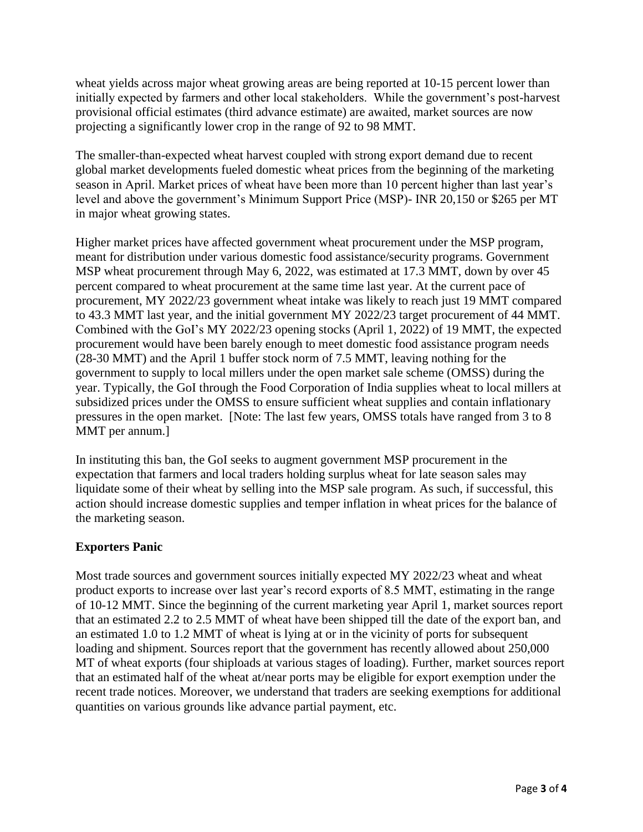wheat yields across major wheat growing areas are being reported at 10-15 percent lower than initially expected by farmers and other local stakeholders. While the government's post-harvest provisional official estimates (third advance estimate) are awaited, market sources are now projecting a significantly lower crop in the range of 92 to 98 MMT.

The smaller-than-expected wheat harvest coupled with strong export demand due to recent global market developments fueled domestic wheat prices from the beginning of the marketing season in April. Market prices of wheat have been more than 10 percent higher than last year's level and above the government's Minimum Support Price (MSP)- INR 20,150 or \$265 per MT in major wheat growing states.

Higher market prices have affected government wheat procurement under the MSP program, meant for distribution under various domestic food assistance/security programs. Government MSP wheat procurement through May 6, 2022, was estimated at 17.3 MMT, down by over 45 percent compared to wheat procurement at the same time last year. At the current pace of procurement, MY 2022/23 government wheat intake was likely to reach just 19 MMT compared to 43.3 MMT last year, and the initial government MY 2022/23 target procurement of 44 MMT. Combined with the GoI's MY 2022/23 opening stocks (April 1, 2022) of 19 MMT, the expected procurement would have been barely enough to meet domestic food assistance program needs (28-30 MMT) and the April 1 buffer stock norm of 7.5 MMT, leaving nothing for the government to supply to local millers under the open market sale scheme (OMSS) during the year. Typically, the GoI through the Food Corporation of India supplies wheat to local millers at subsidized prices under the OMSS to ensure sufficient wheat supplies and contain inflationary pressures in the open market. [Note: The last few years, OMSS totals have ranged from 3 to 8 MMT per annum.]

In instituting this ban, the GoI seeks to augment government MSP procurement in the expectation that farmers and local traders holding surplus wheat for late season sales may liquidate some of their wheat by selling into the MSP sale program. As such, if successful, this action should increase domestic supplies and temper inflation in wheat prices for the balance of the marketing season.

## **Exporters Panic**

Most trade sources and government sources initially expected MY 2022/23 wheat and wheat product exports to increase over last year's record exports of 8.5 MMT, estimating in the range of 10-12 MMT. Since the beginning of the current marketing year April 1, market sources report that an estimated 2.2 to 2.5 MMT of wheat have been shipped till the date of the export ban, and an estimated 1.0 to 1.2 MMT of wheat is lying at or in the vicinity of ports for subsequent loading and shipment. Sources report that the government has recently allowed about 250,000 MT of wheat exports (four shiploads at various stages of loading). Further, market sources report that an estimated half of the wheat at/near ports may be eligible for export exemption under the recent trade notices. Moreover, we understand that traders are seeking exemptions for additional quantities on various grounds like advance partial payment, etc.